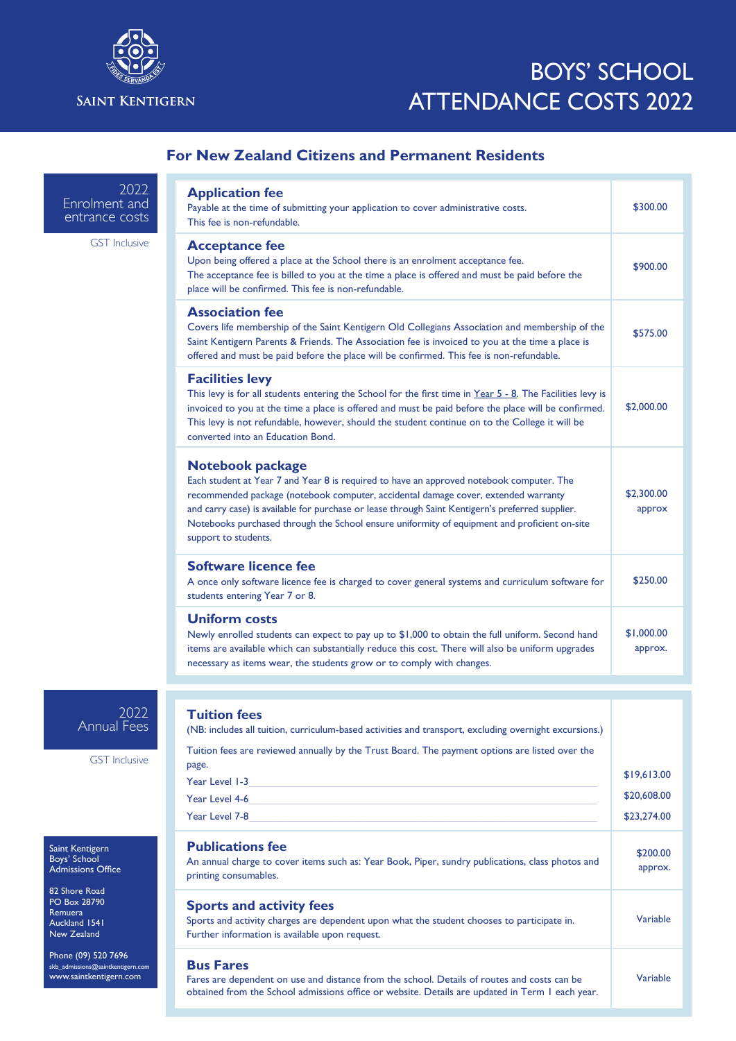

## BOYS' SCHOOL ATTENDANCE COSTS 2022

## **For New Zealand Citizens and Permanent Residents**

2022 Enrolment and entrance costs

GST Inclusive

| <b>Application fee</b><br>Payable at the time of submitting your application to cover administrative costs.<br>This fee is non-refundable.                                                                                                                                                                                                                                                                                            | \$300.00              |
|---------------------------------------------------------------------------------------------------------------------------------------------------------------------------------------------------------------------------------------------------------------------------------------------------------------------------------------------------------------------------------------------------------------------------------------|-----------------------|
| <b>Acceptance fee</b><br>Upon being offered a place at the School there is an enrolment acceptance fee.<br>The acceptance fee is billed to you at the time a place is offered and must be paid before the<br>place will be confirmed. This fee is non-refundable.                                                                                                                                                                     | \$900.00              |
| <b>Association fee</b><br>Covers life membership of the Saint Kentigern Old Collegians Association and membership of the<br>Saint Kentigern Parents & Friends. The Association fee is invoiced to you at the time a place is<br>offered and must be paid before the place will be confirmed. This fee is non-refundable.                                                                                                              | \$575.00              |
| <b>Facilities levy</b><br>This levy is for all students entering the School for the first time in Year 5 - 8. The Facilities levy is<br>invoiced to you at the time a place is offered and must be paid before the place will be confirmed.<br>This levy is not refundable, however, should the student continue on to the College it will be<br>converted into an Education Bond.                                                    | \$2,000.00            |
| <b>Notebook package</b><br>Each student at Year 7 and Year 8 is required to have an approved notebook computer. The<br>recommended package (notebook computer, accidental damage cover, extended warranty<br>and carry case) is available for purchase or lease through Saint Kentigern's preferred supplier.<br>Notebooks purchased through the School ensure uniformity of equipment and proficient on-site<br>support to students. | \$2,300.00<br>approx  |
| Software licence fee<br>A once only software licence fee is charged to cover general systems and curriculum software for<br>students entering Year 7 or 8.                                                                                                                                                                                                                                                                            | \$250.00              |
| <b>Uniform costs</b><br>Newly enrolled students can expect to pay up to \$1,000 to obtain the full uniform. Second hand<br>items are available which can substantially reduce this cost. There will also be uniform upgrades<br>necessary as items wear, the students grow or to comply with changes.                                                                                                                                 | \$1,000.00<br>approx. |

2022 Annual Fees

GST Inclusive

Saint Kentigern Boys' School Admissions Office

82 Shore Road PO Box 28790 Remuera Auckland 1541 New Zealand

Phone (09) 520 7696 skb\_admissions@saintkentigern.com www.saintkentigern.com

## **Tuition fees**  (NB: includes all tuition, curriculum-based activities and transport, excluding overnight excursions.) Tuition fees are reviewed annually by the Trust Board. The payment options are listed over the page. Year Level 1-3 Year Level 4-6 Year Level 7-8 \$19,613.00 \$20,608.00 \$23,274.00 **Publications fee** An annual charge to cover items such as: Year Book, Piper, sundry publications, class photos and printing consumables. \$200.00 approx. **Sports and activity fees** Sports and activity charges are dependent upon what the student chooses to participate in. Further information is available upon request. Variable **Bus Fares** Fares are dependent on use and distance from the school. Details of routes and costs can be obtained from the School admissions office or website. Details are updated in Term 1 each year. Variable